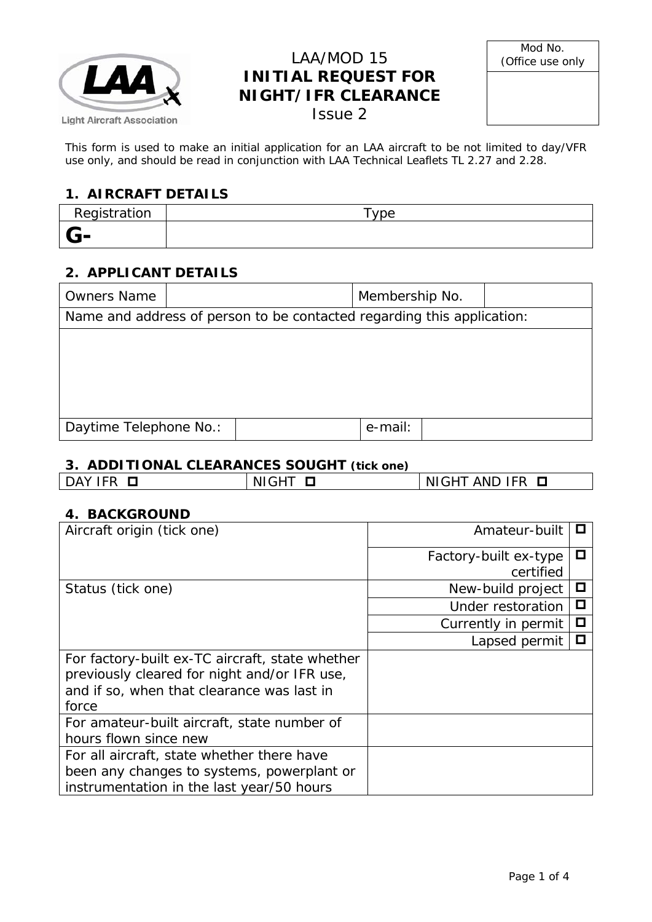

## LAA/MOD 15 **INITIAL REQUEST FOR NIGHT/IFR CLEARANCE** Issue 2

| Mod No.          |
|------------------|
| (Office use only |

This form is used to make an initial application for an LAA aircraft to be not limited to day/VFR use only, and should be read in conjunction with LAA Technical Leaflets TL 2.27 and 2.28.

## **1. AIRCRAFT DETAILS**

| Registration | vpe |
|--------------|-----|
| <b>U-</b>    |     |

### **2. APPLICANT DETAILS**

| <b>Owners Name</b>     |                                                                        |  | Membership No. |  |
|------------------------|------------------------------------------------------------------------|--|----------------|--|
|                        | Name and address of person to be contacted regarding this application: |  |                |  |
|                        |                                                                        |  |                |  |
|                        |                                                                        |  |                |  |
|                        |                                                                        |  |                |  |
|                        |                                                                        |  |                |  |
| Daytime Telephone No.: |                                                                        |  | e-mail:        |  |

### **3. ADDITIONAL CLEARANCES SOUGHT (tick one)**

|  | ш. |
|--|----|
|  |    |

#### **4. BACKGROUND**

| Aircraft origin (tick one)                                                                                                                             | Amateur-built         |   |
|--------------------------------------------------------------------------------------------------------------------------------------------------------|-----------------------|---|
|                                                                                                                                                        | Factory-built ex-type | ◻ |
|                                                                                                                                                        | certified             |   |
| Status (tick one)                                                                                                                                      | New-build project     | O |
|                                                                                                                                                        | Under restoration     | О |
|                                                                                                                                                        | Currently in permit   | П |
|                                                                                                                                                        | Lapsed permit         | ◻ |
| For factory-built ex-TC aircraft, state whether<br>previously cleared for night and/or IFR use,<br>and if so, when that clearance was last in<br>force |                       |   |
| For amateur-built aircraft, state number of<br>hours flown since new                                                                                   |                       |   |
| For all aircraft, state whether there have<br>been any changes to systems, powerplant or<br>instrumentation in the last year/50 hours                  |                       |   |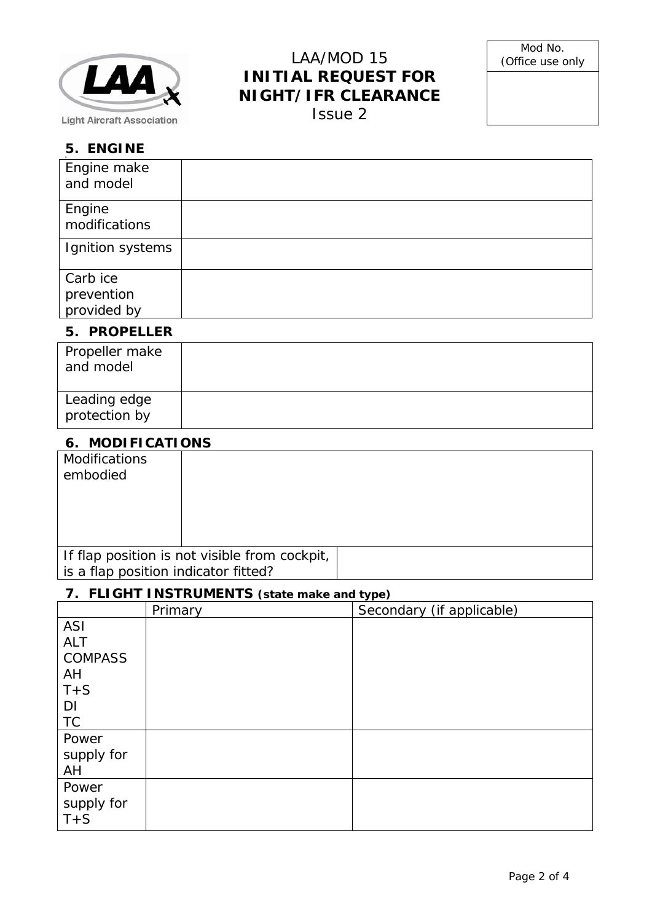

# LAA/MOD 15 **INITIAL REQUEST FOR NIGHT/IFR CLEARANCE**

Issue 2

### **5. ENGINE**

| Engine make<br>and model              |  |
|---------------------------------------|--|
| Engine<br>modifications               |  |
| Ignition systems                      |  |
| Carb ice<br>prevention<br>provided by |  |

### **5. PROPELLER**

| Propeller make<br>and model   |  |
|-------------------------------|--|
| Leading edge<br>protection by |  |

### **6. MODIFICATIONS**

| <b>Modifications</b>                 |                                               |  |
|--------------------------------------|-----------------------------------------------|--|
| embodied                             |                                               |  |
|                                      |                                               |  |
|                                      |                                               |  |
|                                      |                                               |  |
|                                      |                                               |  |
|                                      | If flap position is not visible from cockpit, |  |
| is a flap position indicator fitted? |                                               |  |

## **7. FLIGHT INSTRUMENTS (state make and type)**

|                | Primary | $\mathbf{y}$ - $\mathbf{y}$<br>Secondary (if applicable) |
|----------------|---------|----------------------------------------------------------|
| <b>ASI</b>     |         |                                                          |
| <b>ALT</b>     |         |                                                          |
| <b>COMPASS</b> |         |                                                          |
| AH             |         |                                                          |
| $T + S$        |         |                                                          |
| DI             |         |                                                          |
| <b>TC</b>      |         |                                                          |
| Power          |         |                                                          |
| supply for     |         |                                                          |
| AH             |         |                                                          |
| Power          |         |                                                          |
| supply for     |         |                                                          |
| $T + S$        |         |                                                          |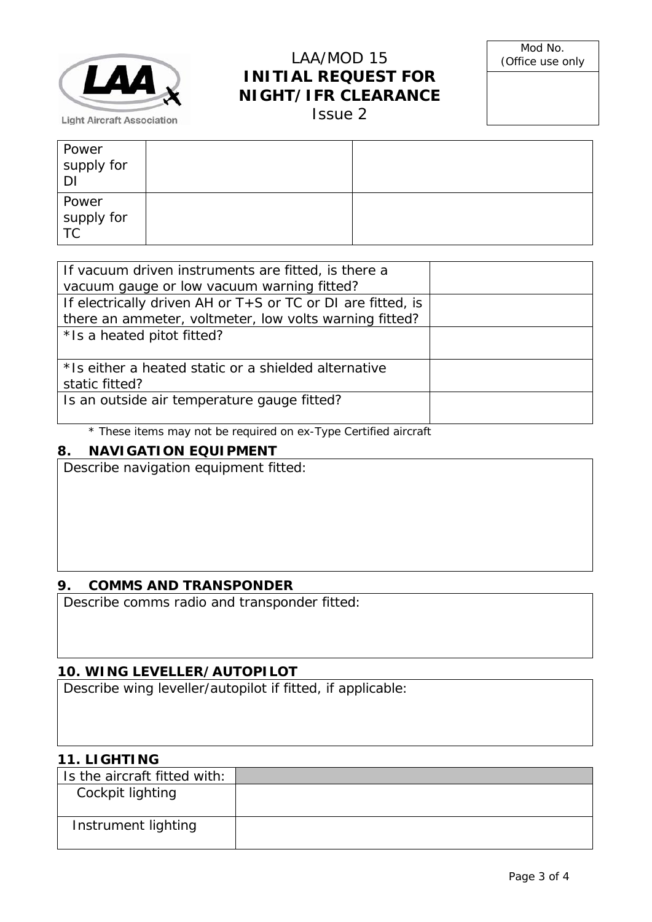

## LAA/MOD 15 **INITIAL REQUEST FOR NIGHT/IFR CLEARANCE**

Issue 2

| Power<br>supply for<br>DI |  |
|---------------------------|--|
| Power<br>supply for<br>TC |  |

| If vacuum driven instruments are fitted, is there a         |  |
|-------------------------------------------------------------|--|
| vacuum gauge or low vacuum warning fitted?                  |  |
| If electrically driven AH or T+S or TC or DI are fitted, is |  |
| there an ammeter, voltmeter, low volts warning fitted?      |  |
| * Is a heated pitot fitted?                                 |  |
|                                                             |  |
| * Is either a heated static or a shielded alternative       |  |
| static fitted?                                              |  |
| Is an outside air temperature gauge fitted?                 |  |
|                                                             |  |

\* These items may not be required on ex-Type Certified aircraft

## **8. NAVIGATION EQUIPMENT**

Describe navigation equipment fitted:

### **9. COMMS AND TRANSPONDER**

Describe comms radio and transponder fitted:

### **10. WING LEVELLER/AUTOPILOT**

Describe wing leveller/autopilot if fitted, if applicable:

### **11. LIGHTING**

| Is the aircraft fitted with: |  |
|------------------------------|--|
| Cockpit lighting             |  |
|                              |  |
| Instrument lighting          |  |